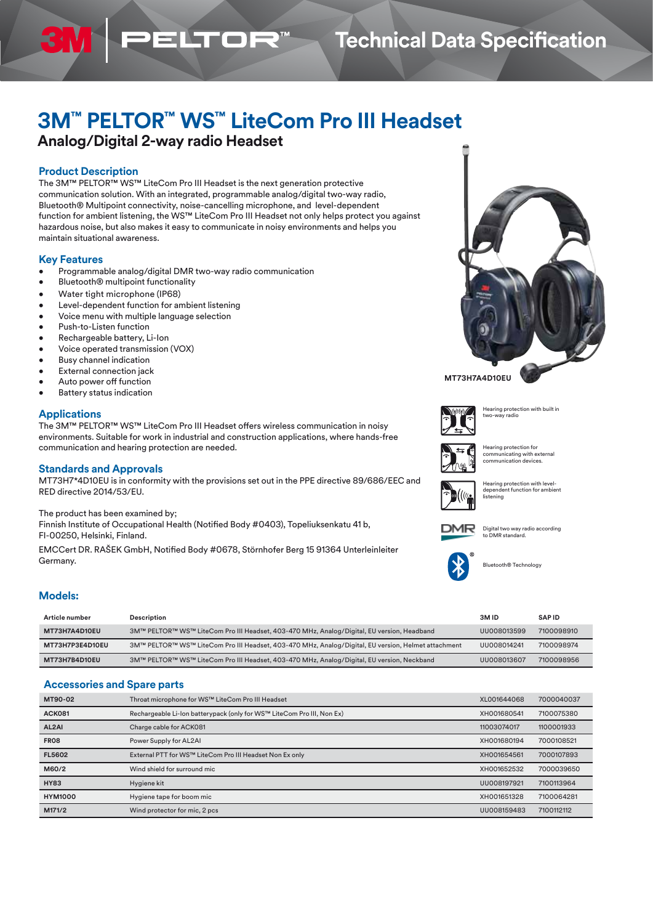## **Technical Data Specification**

# **3M™ PELTOR™ WS™ LiteCom Pro III Headset**

## **Analog/Digital 2-way radio Headset**

### **Product Description**

31

The 3M™ PELTOR™ WS™ LiteCom Pro III Headset is the next generation protective communication solution. With an integrated, programmable analog/digital two-way radio, Bluetooth® Multipoint connectivity, noise-cancelling microphone, and level-dependent function for ambient listening, the WS™ LiteCom Pro III Headset not only helps protect you against hazardous noise, but also makes it easy to communicate in noisy environments and helps you maintain situational awareness.

ELTOF

#### **Key Features**

- Programmable analog/digital DMR two-way radio communication
- Bluetooth® multipoint functionality
- Water tight microphone (IP68)
- Level-dependent function for ambient listening
- Voice menu with multiple language selection
- Push-to-Listen function
- Rechargeable battery, Li-Ion
- Voice operated transmission (VOX)
- Busy channel indication
- External connection jack
- Auto power off function
- Battery status indication

#### **Applications**

The 3M™ PELTOR™ WS™ LiteCom Pro III Headset offers wireless communication in noisy environments. Suitable for work in industrial and construction applications, where hands-free communication and hearing protection are needed.

#### **Standards and Approvals**

MT73H7\*4D10EU is in conformity with the provisions set out in the PPE directive 89/686/EEC and RED directive 2014/53/EU.

The product has been examined by;

Finnish Institute of Occupational Health (Notified Body #0403), Topeliuksenkatu 41 b, FI-00250, Helsinki, Finland.

EMCCert DR. RAŠEK GmbH, Notified Body #0678, Störnhofer Berg 15 91364 Unterleinleiter Germany.





Digital two way radio according to DMR standard.



Bluetooth® Technology

| Article number  | Description                                                                                         | 3M ID       | <b>SAPID</b> |
|-----------------|-----------------------------------------------------------------------------------------------------|-------------|--------------|
| MT73H7A4D10EU   | 3M™ PELTOR™ WS™ LiteCom Pro III Headset, 403-470 MHz, Analog/Digital, EU version, Headband          | UU008013599 | 7100098910   |
| MT73H7P3E4D10EU | 3M™ PELTOR™ WS™ LiteCom Pro III Headset, 403-470 MHz, Analog/Digital, EU version, Helmet attachment | UU008014241 | 7100098974   |
| MT73H7B4D10EU   | 3M™ PELTOR™ WS™ LiteCom Pro III Headset, 403-470 MHz, Analog/Digital, EU version, Neckband          | UU008013607 | 7100098956   |

#### **Accessories and Spare parts**

| MT90-02            | Throat microphone for WS™ LiteCom Pro III Headset                      | XL001644068 | 7000040037 |
|--------------------|------------------------------------------------------------------------|-------------|------------|
| <b>ACK081</b>      | Rechargeable Li-Ion batterypack (only for WS™ LiteCom Pro III, Non Ex) | XH001680541 | 7100075380 |
| AL <sub>2</sub> AI | Charge cable for ACK081                                                | 11003074017 | 1100001933 |
| <b>FR08</b>        | Power Supply for AL2AI                                                 | XH001680194 | 7000108521 |
| <b>FL5602</b>      | External PTT for WS™ LiteCom Pro III Headset Non Ex only               | XH001654561 | 7000107893 |
| M60/2              | Wind shield for surround mic                                           | XH001652532 | 7000039650 |
| <b>HY83</b>        | Hygiene kit                                                            | UU008197921 | 7100113964 |
| <b>HYM1000</b>     | Hygiene tape for boom mic                                              | XH001651328 | 7100064281 |
| M171/2             | Wind protector for mic, 2 pcs                                          | UU008159483 | 7100112112 |



#### **MT73H7A4D10EU**



Hearing protection with built in two-way radio

Hearing protection for communicating with external